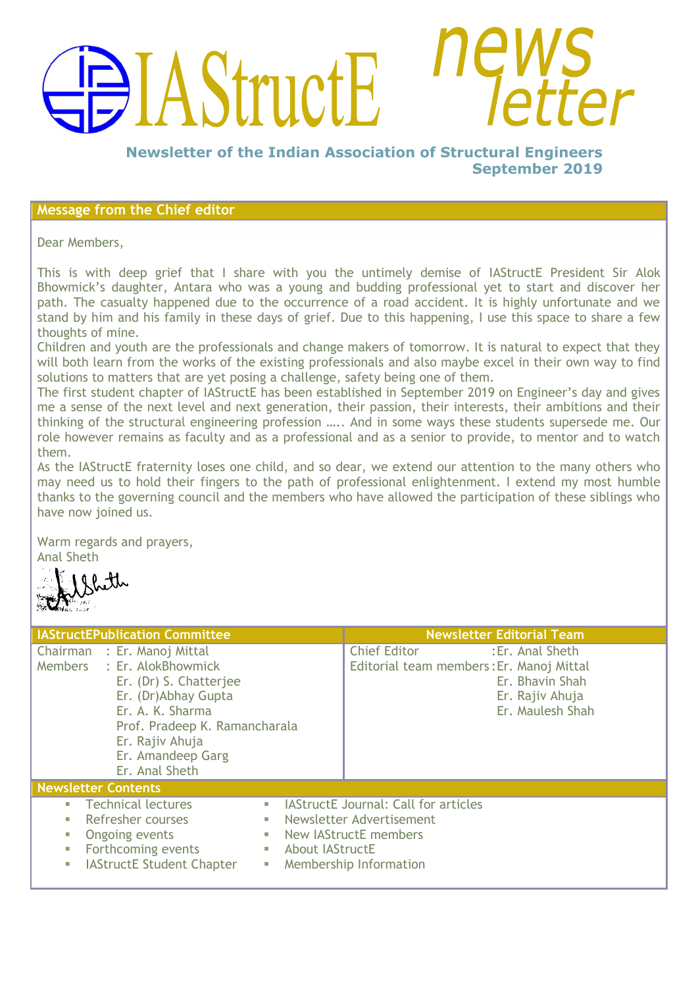# **AStructE**

**Newsletter of the Indian Association of Structural Engineers September 2019**

# **Message from the Chief editor**

Dear Members,

This is with deep grief that I share with you the untimely demise of IAStructE President Sir Alok Bhowmick"s daughter, Antara who was a young and budding professional yet to start and discover her path. The casualty happened due to the occurrence of a road accident. It is highly unfortunate and we stand by him and his family in these days of grief. Due to this happening, I use this space to share a few thoughts of mine.

Children and youth are the professionals and change makers of tomorrow. It is natural to expect that they will both learn from the works of the existing professionals and also maybe excel in their own way to find solutions to matters that are yet posing a challenge, safety being one of them.

The first student chapter of IAStructE has been established in September 2019 on Engineer"s day and gives me a sense of the next level and next generation, their passion, their interests, their ambitions and their thinking of the structural engineering profession ….. And in some ways these students supersede me. Our role however remains as faculty and as a professional and as a senior to provide, to mentor and to watch them.

As the IAStructE fraternity loses one child, and so dear, we extend our attention to the many others who may need us to hold their fingers to the path of professional enlightenment. I extend my most humble thanks to the governing council and the members who have allowed the participation of these siblings who have now joined us.

Warm regards and prayers, Anal Sheth

| <b>IAStructEPublication Committee</b>                                                                                                                                                                                                                                             |                        |                                                                                                                            | <b>Newsletter Editorial Team</b>                                           |
|-----------------------------------------------------------------------------------------------------------------------------------------------------------------------------------------------------------------------------------------------------------------------------------|------------------------|----------------------------------------------------------------------------------------------------------------------------|----------------------------------------------------------------------------|
| Chairman : Er. Manoj Mittal<br>Members : Er. AlokBhowmick<br>Er. (Dr) S. Chatterjee<br>Er. (Dr)Abhay Gupta<br>Er. A. K. Sharma<br>Prof. Pradeep K. Ramancharala<br>Er. Rajiv Ahuja<br>Er. Amandeep Garg<br>Er. Anal Sheth                                                         |                        | <b>Chief Editor</b><br>Editorial team members: Er. Manoj Mittal                                                            | : Er. Anal Sheth<br>Er. Bhavin Shah<br>Er. Rajiv Ahuja<br>Er. Maulesh Shah |
| <b>Newsletter Contents</b>                                                                                                                                                                                                                                                        |                        |                                                                                                                            |                                                                            |
| <b>Technical lectures</b><br>$\mathcal{L}_{\mathcal{A}}$<br>$\Box$<br>Refresher courses<br>$\mathcal{L}_{\mathcal{A}}$<br>ш<br>Ongoing events<br>$\mathcal{L}_{\mathcal{A}}$<br>ш<br>Forthcoming events<br>П<br><b>IAStructE Student Chapter</b><br>$\overline{\phantom{a}}$<br>П | <b>About IAStructE</b> | <b>IAStructE Journal: Call for articles</b><br>Newsletter Advertisement<br>New IAStructE members<br>Membership Information |                                                                            |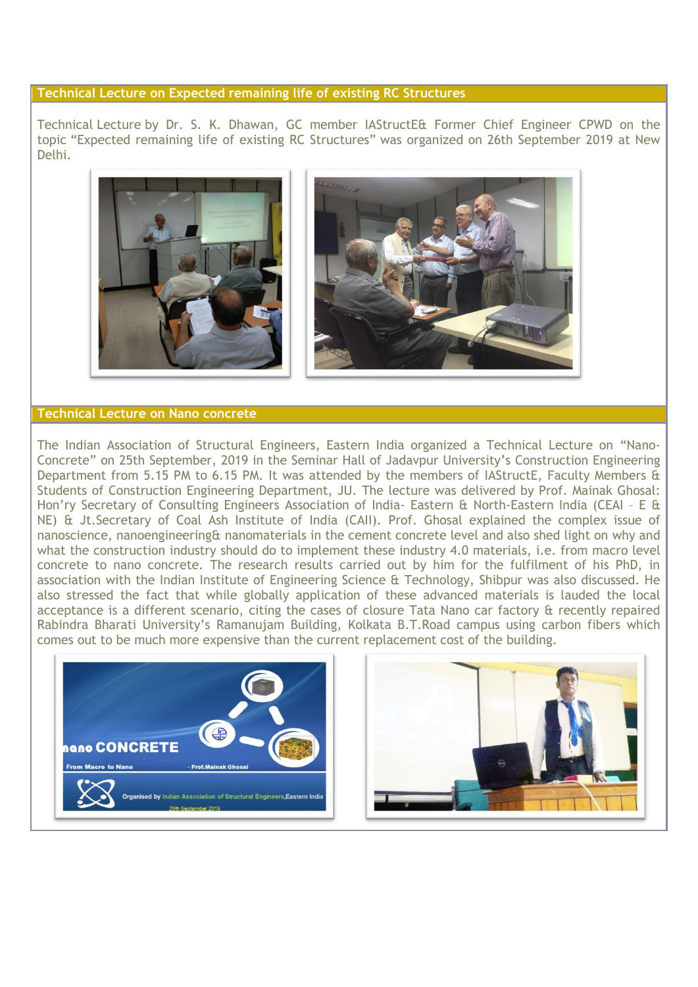# **Technical Lecture on Expected remaining life of existing RC Structures**

Technical Lecture by Dr. S. K. Dhawan, GC member IAStructE& Former Chief Engineer CPWD on the topic "Expected remaining life of existing RC Structures" was organized on 26th September 2019 at New Delhi.



# **Technical Lecture on Nano concrete**

The Indian Association of Structural Engineers, Eastern India organized a Technical Lecture on "Nano-Concrete" on 25th September, 2019 in the Seminar Hall of Jadavpur University"s Construction Engineering Department from 5.15 PM to 6.15 PM. It was attended by the members of IAStructE, Faculty Members & Students of Construction Engineering Department, JU. The lecture was delivered by Prof. Mainak Ghosal: Hon'ry Secretary of Consulting Engineers Association of India- Eastern & North-Eastern India (CEAI - E & NE) & Jt.Secretary of Coal Ash Institute of India (CAII). Prof. Ghosal explained the complex issue of nanoscience, nanoengineering& nanomaterials in the cement concrete level and also shed light on why and what the construction industry should do to implement these industry 4.0 materials, i.e. from macro level concrete to nano concrete. The research results carried out by him for the fulfilment of his PhD, in association with the Indian Institute of Engineering Science & Technology, Shibpur was also discussed. He also stressed the fact that while globally application of these advanced materials is lauded the local acceptance is a different scenario, citing the cases of closure Tata Nano car factory & recently repaired Rabindra Bharati University"s Ramanujam Building, Kolkata B.T.Road campus using carbon fibers which comes out to be much more expensive than the current replacement cost of the building.



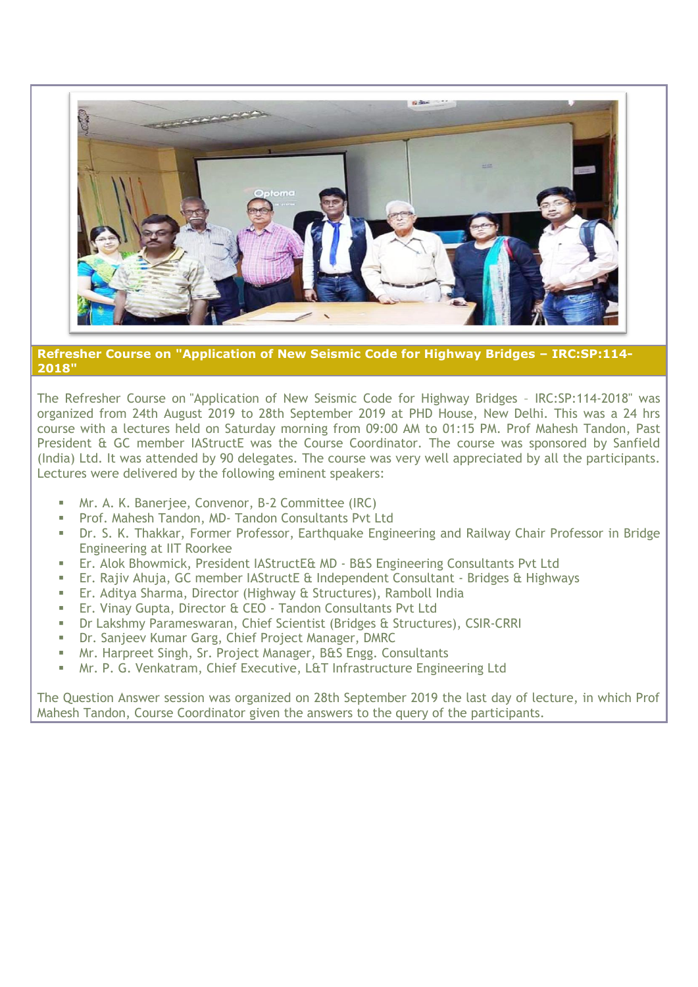

**Refresher Course on "Application of New Seismic Code for Highway Bridges – IRC:SP:114- 2018"**

The Refresher Course on "Application of New Seismic Code for Highway Bridges – IRC:SP:114-2018" was organized from 24th August 2019 to 28th September 2019 at PHD House, New Delhi. This was a 24 hrs course with a lectures held on Saturday morning from 09:00 AM to 01:15 PM. Prof Mahesh Tandon, Past President & GC member IAStructE was the Course Coordinator. The course was sponsored by Sanfield (India) Ltd. It was attended by 90 delegates. The course was very well appreciated by all the participants. Lectures were delivered by the following eminent speakers:

- Mr. A. K. Banerjee, Convenor, B-2 Committee (IRC)
- **Prof. Mahesh Tandon, MD- Tandon Consultants Pvt Ltd**
- Dr. S. K. Thakkar, Former Professor, Earthquake Engineering and Railway Chair Professor in Bridge Engineering at IIT Roorkee
- Er. Alok Bhowmick, President IAStructE& MD B&S Engineering Consultants Pvt Ltd
- Er. Rajiv Ahuja, GC member IAStructE & Independent Consultant Bridges & Highways
- Er. Aditya Sharma, Director (Highway & Structures), Ramboll India
- Er. Vinay Gupta, Director & CEO Tandon Consultants Pvt Ltd
- Dr Lakshmy Parameswaran, Chief Scientist (Bridges & Structures), CSIR-CRRI
- Dr. Sanjeev Kumar Garg, Chief Project Manager, DMRC
- Mr. Harpreet Singh, Sr. Project Manager, B&S Engg. Consultants
- Mr. P. G. Venkatram, Chief Executive, L&T Infrastructure Engineering Ltd

The Question Answer session was organized on 28th September 2019 the last day of lecture, in which Prof Mahesh Tandon, Course Coordinator given the answers to the query of the participants.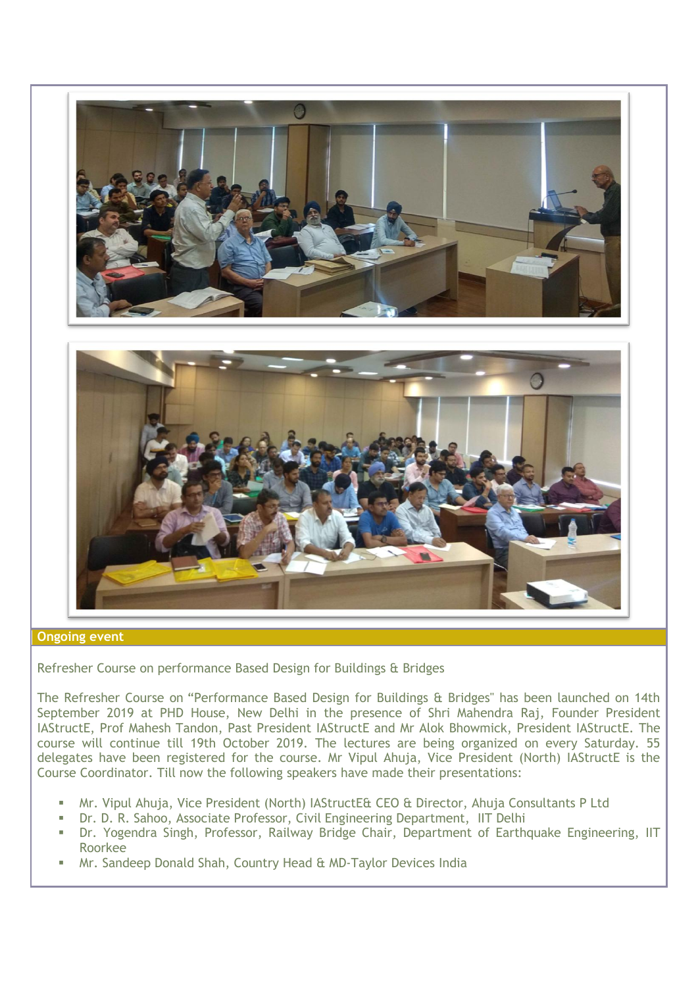

# **Ongoing event**

Refresher Course on performance Based Design for Buildings & Bridges

The Refresher Course on "Performance Based Design for Buildings & Bridges" has been launched on 14th September 2019 at PHD House, New Delhi in the presence of Shri Mahendra Raj, Founder President IAStructE, Prof Mahesh Tandon, Past President IAStructE and Mr Alok Bhowmick, President IAStructE. The course will continue till 19th October 2019. The lectures are being organized on every Saturday. 55 delegates have been registered for the course. Mr Vipul Ahuja, Vice President (North) IAStructE is the Course Coordinator. Till now the following speakers have made their presentations:

- Mr. Vipul Ahuja, Vice President (North) IAStructE& CEO & Director, Ahuja Consultants P Ltd
- Dr. D. R. Sahoo, Associate Professor, Civil Engineering Department, IIT Delhi
- Dr. Yogendra Singh, Professor, Railway Bridge Chair, Department of Earthquake Engineering, IIT Roorkee
- Mr. Sandeep Donald Shah, Country Head & MD-Taylor Devices India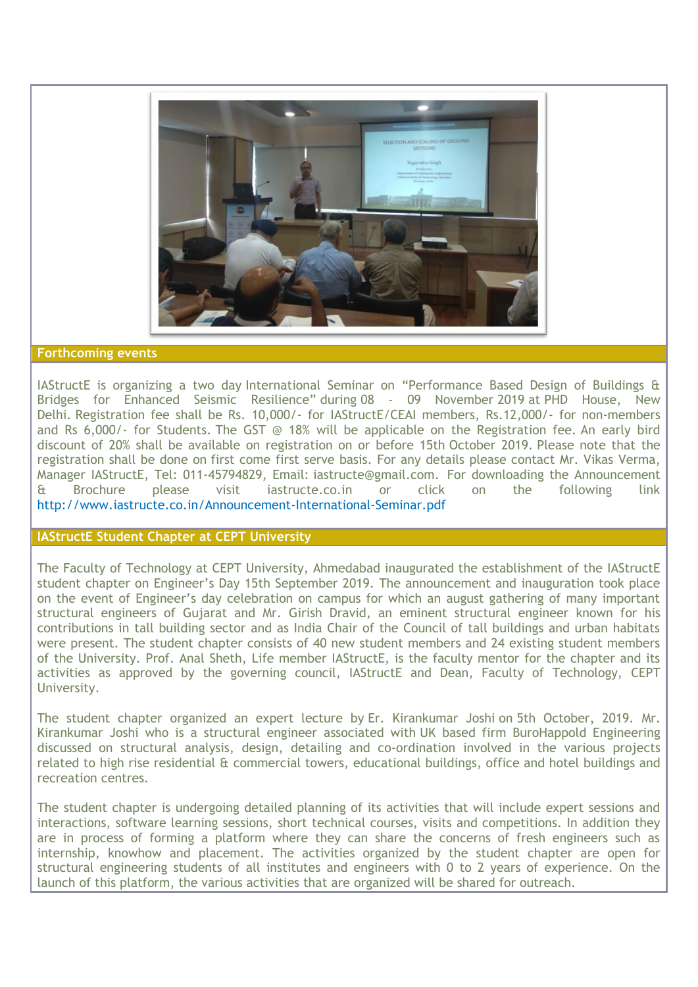

### **Forthcoming events**

IAStructE is organizing a two day International Seminar on "Performance Based Design of Buildings & Bridges for Enhanced Seismic Resilience" during 08 – 09 November 2019 at PHD House, New Delhi. Registration fee shall be Rs. 10,000/- for IAStructE/CEAI members, Rs.12,000/- for non-members and Rs 6,000/- for Students. The GST @ 18% will be applicable on the Registration fee. An early bird discount of 20% shall be available on registration on or before 15th October 2019. Please note that the registration shall be done on first come first serve basis. For any details please contact Mr. Vikas Verma, Manager IAStructE, Tel: 011-45794829, Email: [iastructe@gmail.com.](mailto:iastructe@gmail.com) For downloading the Announcement & Brochure please visit iastructe.co.in or click on the following link <http://www.iastructe.co.in/Announcement-International-Seminar.pdf>

### **IAStructE Student Chapter at CEPT University**

The Faculty of Technology at CEPT University, Ahmedabad inaugurated the establishment of the IAStructE student chapter on Engineer"s Day 15th September 2019. The announcement and inauguration took place on the event of Engineer"s day celebration on campus for which an august gathering of many important structural engineers of Gujarat and Mr. Girish Dravid, an eminent structural engineer known for his contributions in tall building sector and as India Chair of the Council of tall buildings and urban habitats were present. The student chapter consists of 40 new student members and 24 existing student members of the University. Prof. Anal Sheth, Life member IAStructE, is the faculty mentor for the chapter and its activities as approved by the governing council, IAStructE and Dean, Faculty of Technology, CEPT University.

The student chapter organized an expert lecture by Er. Kirankumar Joshi on 5th October, 2019. Mr. Kirankumar Joshi who is a structural engineer associated with UK based firm BuroHappold Engineering discussed on structural analysis, design, detailing and co-ordination involved in the various projects related to high rise residential & commercial towers, educational buildings, office and hotel buildings and recreation centres.

The student chapter is undergoing detailed planning of its activities that will include expert sessions and interactions, software learning sessions, short technical courses, visits and competitions. In addition they are in process of forming a platform where they can share the concerns of fresh engineers such as internship, knowhow and placement. The activities organized by the student chapter are open for structural engineering students of all institutes and engineers with 0 to 2 years of experience. On the launch of this platform, the various activities that are organized will be shared for outreach.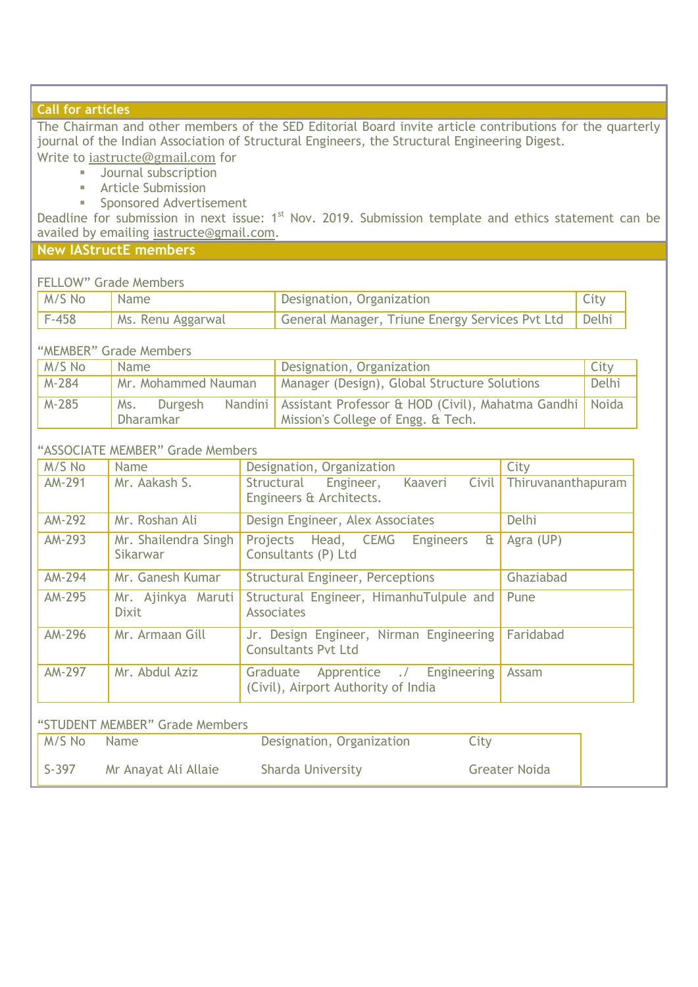# **Call for articles**

The Chairman and other members of the SED Editorial Board invite article contributions for the quarterly journal of the Indian Association of Structural Engineers, the Structural Engineering Digest.

Write to [iastructe@gmail.com](mailto:iastructe@gmail.com) for

- **Journal subscription**
- **Article Submission**
- **Sponsored Advertisement**

Deadline for submission in next issue: 1<sup>st</sup> Nov. 2019. Submission template and ethics statement can be availed by emailing [iastructe@gmail.com.](mailto:iastructe@gmail.com)

# **New IAStructE members**

# FELLOW" Grade Members

| M/S No  | ' Name              | Designation, Organization                               | City |
|---------|---------------------|---------------------------------------------------------|------|
| $F-458$ | I Ms. Renu Aggarwal | General Manager, Triune Energy Services Pvt Ltd   Delhi |      |

"MEMBER" Grade Members

| M/S No  | Name                               | Designation, Organization                                                                                 | City  |
|---------|------------------------------------|-----------------------------------------------------------------------------------------------------------|-------|
| M-284   | Mr. Mohammed Nauman                | Manager (Design), Global Structure Solutions                                                              | Delhi |
| $M-285$ | <b>Durgesh</b><br>Ms.<br>Dharamkar | Nandini   Assistant Professor & HOD (Civil), Mahatma Gandhi   Noida<br>Mission's College of Engg. & Tech. |       |

# "ASSOCIATE MEMBER" Grade Members

| M/S No        | <b>Name</b>                        | Designation, Organization                                                      | City               |
|---------------|------------------------------------|--------------------------------------------------------------------------------|--------------------|
| AM-291        | Mr. Aakash S.                      | Civil<br>Structural Engineer,<br>Kaaveri<br>Engineers & Architects.            | Thiruvananthapuram |
| <b>AM-292</b> | Mr. Roshan Ali                     | Design Engineer, Alex Associates                                               | Delhi              |
| AM-293        | Mr. Shailendra Singh<br>Sikarwar   | Projects Head, CEMG<br>$\mathbf{a}$<br><b>Engineers</b><br>Consultants (P) Ltd | Agra (UP)          |
| AM-294        | Mr. Ganesh Kumar                   | <b>Structural Engineer, Perceptions</b>                                        | Ghaziabad          |
| AM-295        | Mr. Ajinkya Maruti<br><b>Dixit</b> | Structural Engineer, HimanhuTulpule and<br><b>Associates</b>                   | Pune               |
| <b>AM-296</b> | Mr. Armaan Gill                    | Jr. Design Engineer, Nirman Engineering<br><b>Consultants Pyt Ltd</b>          | Faridabad          |
| <b>AM-297</b> | Mr. Abdul Aziz                     | Apprentice ./ Engineering<br>Graduate<br>(Civil), Airport Authority of India   | Assam              |
|               | "STUDENT MEMBER" Grade Members     |                                                                                |                    |

| M/S No                  | <b>Name</b>          | Designation, Organization | City                 |
|-------------------------|----------------------|---------------------------|----------------------|
| $\mathsf{S}\text{-}397$ | Mr Anayat Ali Allaie | Sharda University         | <b>Greater Noida</b> |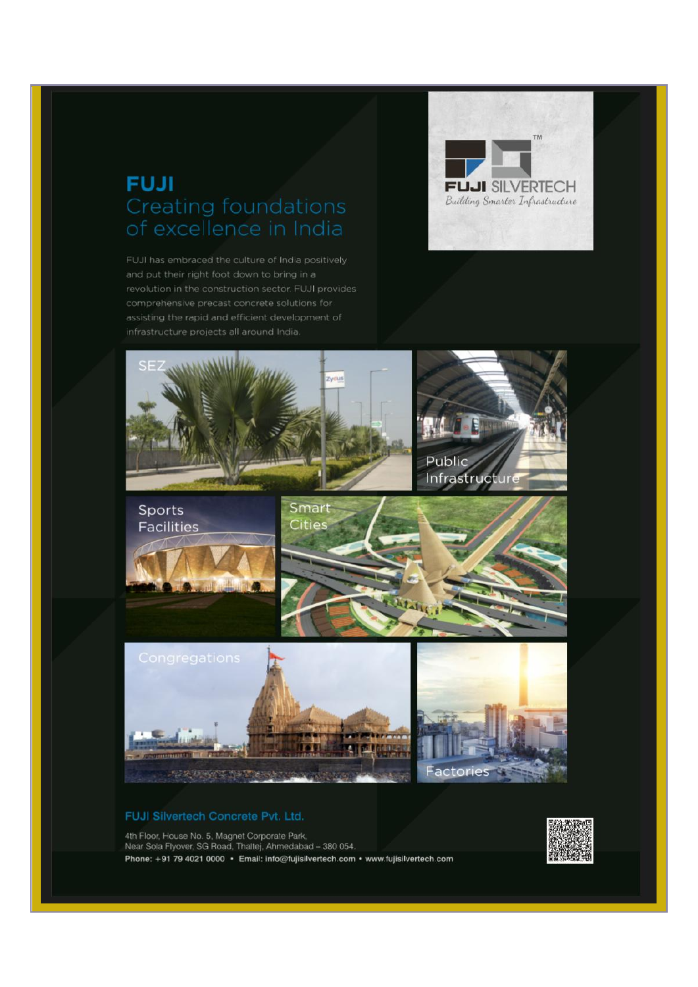# **FUJI** Creating foundations of excellence in India

FUJI has embraced the culture of India positively and put their right foot down to bring in a comprehensive precast concrete solutions for infrastructure projects all around India.





### FUJI Silvertech Concrete Pvt. Ltd.

4th Floor, House No. 5, Magnet Corporate Park, Near Sola Flyover, SG Road, Thaltei, Ahmedabad - 380 054, Phone: +91 79 4021 0000 · Email: info@fujisilvertech.com · www.fujisilvertech.com